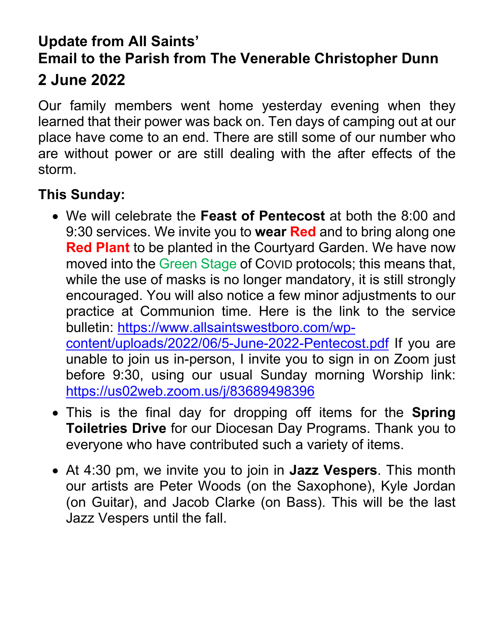## **Update from All Saints' Email to the Parish from The Venerable Christopher Dunn 2 June 2022**

Our family members went home yesterday evening when they learned that their power was back on. Ten days of camping out at our place have come to an end. There are still some of our number who are without power or are still dealing with the after effects of the storm.

## **This Sunday:**

- We will celebrate the **Feast of Pentecost** at both the 8:00 and 9:30 services. We invite you to **wear Red** and to bring along one **Red Plant** to be planted in the Courtyard Garden. We have now moved into the Green Stage of COVID protocols; this means that, while the use of masks is no longer mandatory, it is still strongly encouraged. You will also notice a few minor adjustments to our practice at Communion time. Here is the link to the service bulletin: [https://www.allsaintswestboro.com/wp](https://www.allsaintswestboro.com/wp-content/uploads/2022/06/5-June-2022-Pentecost.pdf)[content/uploads/2022/06/5-June-2022-Pentecost.pdf](https://www.allsaintswestboro.com/wp-content/uploads/2022/06/5-June-2022-Pentecost.pdf) If you are unable to join us in-person, I invite you to sign in on Zoom just before 9:30, using our usual Sunday morning Worship link: <https://us02web.zoom.us/j/83689498396>
- This is the final day for dropping off items for the **Spring Toiletries Drive** for our Diocesan Day Programs. Thank you to everyone who have contributed such a variety of items.
- At 4:30 pm, we invite you to join in **Jazz Vespers**. This month our artists are Peter Woods (on the Saxophone), Kyle Jordan (on Guitar), and Jacob Clarke (on Bass). This will be the last Jazz Vespers until the fall.